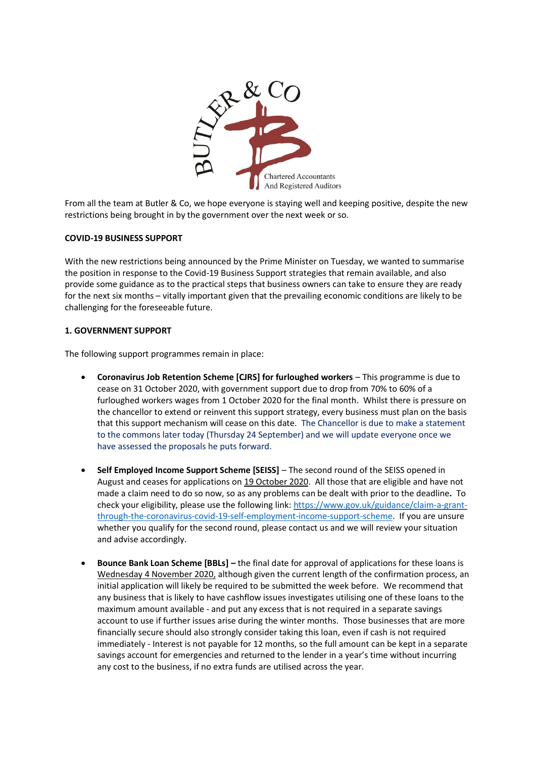

From all the team at Butler & Co, we hope everyone is staying well and keeping positive, despite the new restrictions being brought in by the government over the next week or so.

## **COVID-19 BUSINESS SUPPORT**

With the new restrictions being announced by the Prime Minister on Tuesday, we wanted to summarise the position in response to the Covid-19 Business Support strategies that remain available, and also provide some guidance as to the practical steps that business owners can take to ensure they are ready for the next six months – vitally important given that the prevailing economic conditions are likely to be challenging for the foreseeable future.

## **1. GOVERNMENT SUPPORT**

The following support programmes remain in place:

- **Coronavirus Job Retention Scheme [CJRS] for furloughed workers** This programme is due to cease on 31 October 2020, with government support due to drop from 70% to 60% of a furloughed workers wages from 1 October 2020 for the final month. Whilst there is pressure on the chancellor to extend or reinvent this support strategy, every business must plan on the basis that this support mechanism will cease on this date. The Chancellor is due to make a statement to the commons later today (Thursday 24 September) and we will update everyone once we have assessed the proposals he puts forward.
- **•** Self Employed Income Support Scheme [SEISS] The second round of the SEISS opened in August and ceases for applications on 19 October 2020. All those that are eligible and have not made a claim need to do so now, so as any problems can be dealt with prior to the deadline**.** To check your eligibility, please use the following link: [https://www.gov.uk/guidance/claim-a-grant](https://www.gov.uk/guidance/claim-a-grant-through-the-coronavirus-covid-19-self-employment-income-support-scheme)[through-the-coronavirus-covid-19-self-employment-income-support-scheme.](https://www.gov.uk/guidance/claim-a-grant-through-the-coronavirus-covid-19-self-employment-income-support-scheme) If you are unsure whether you qualify for the second round, please contact us and we will review your situation and advise accordingly.
- **Bounce Bank Loan Scheme [BBLs] –** the final date for approval of applications for these loans is Wednesday 4 November 2020, although given the current length of the confirmation process, an initial application will likely be required to be submitted the week before. We recommend that any business that is likely to have cashflow issues investigates utilising one of these loans to the maximum amount available - and put any excess that is not required in a separate savings account to use if further issues arise during the winter months. Those businesses that are more financially secure should also strongly consider taking this loan, even if cash is not required immediately - Interest is not payable for 12 months, so the full amount can be kept in a separate savings account for emergencies and returned to the lender in a year's time without incurring any cost to the business, if no extra funds are utilised across the year.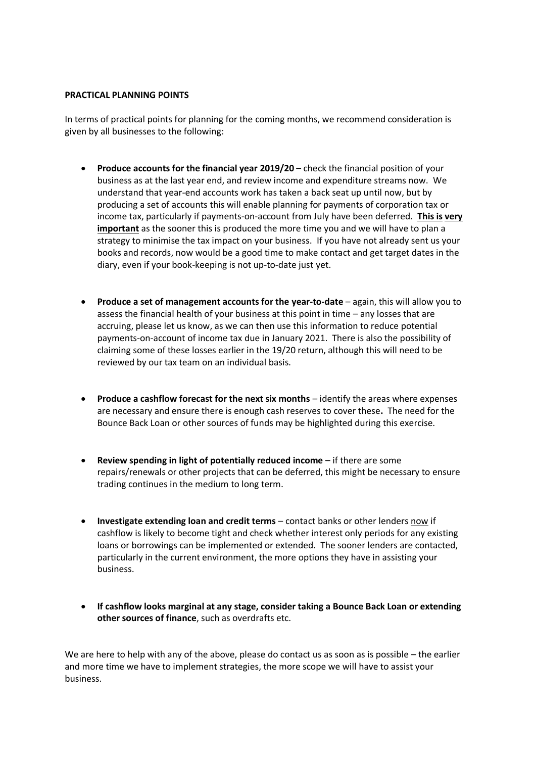## **PRACTICAL PLANNING POINTS**

In terms of practical points for planning for the coming months, we recommend consideration is given by all businesses to the following:

- **Produce accounts for the financial year 2019/20** check the financial position of your business as at the last year end, and review income and expenditure streams now. We understand that year-end accounts work has taken a back seat up until now, but by producing a set of accounts this will enable planning for payments of corporation tax or income tax, particularly if payments-on-account from July have been deferred. **This is very important** as the sooner this is produced the more time you and we will have to plan a strategy to minimise the tax impact on your business. If you have not already sent us your books and records, now would be a good time to make contact and get target dates in the diary, even if your book-keeping is not up-to-date just yet.
- **Produce a set of management accounts for the year-to-date** again, this will allow you to assess the financial health of your business at this point in time – any losses that are accruing, please let us know, as we can then use this information to reduce potential payments-on-account of income tax due in January 2021. There is also the possibility of claiming some of these losses earlier in the 19/20 return, although this will need to be reviewed by our tax team on an individual basis.
- **•** Produce a cashflow forecast for the next six months identify the areas where expenses are necessary and ensure there is enough cash reserves to cover these**.** The need for the Bounce Back Loan or other sources of funds may be highlighted during this exercise.
- **•** Review spending in light of potentially reduced income if there are some repairs/renewals or other projects that can be deferred, this might be necessary to ensure trading continues in the medium to long term.
- **Investigate extending loan and credit terms** contact banks or other lenders now if cashflow is likely to become tight and check whether interest only periods for any existing loans or borrowings can be implemented or extended. The sooner lenders are contacted, particularly in the current environment, the more options they have in assisting your business.
- **If cashflow looks marginal at any stage, consider taking a Bounce Back Loan or extending other sources of finance**, such as overdrafts etc.

We are here to help with any of the above, please do contact us as soon as is possible – the earlier and more time we have to implement strategies, the more scope we will have to assist your business.